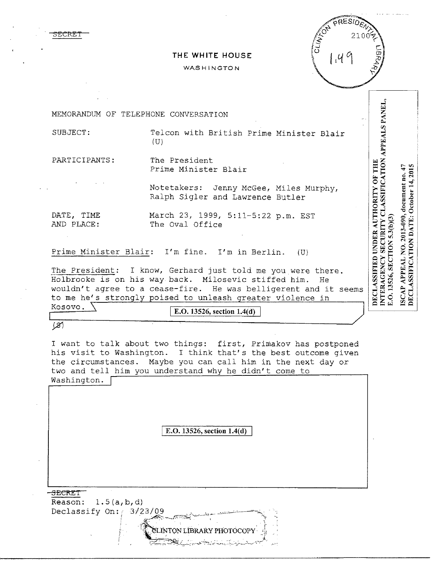

## **THE WHITE HOUSE**

## WASHINGTON



DECLASSIFIED UNDER AUTHORITY OF THE<br>INTERAGENCY SECURITY CLASSIFICATION APPEALS PANEL,<br>E.O. 13526, SECTION 5.3(b)(3)

ISCAP APPEAL NO. 2013-090, document no. 47 DECLASSIFICATION DATE: October 14, 2015

MEMORANDUM OF TELEPHONE CONVERSATION

SUBJECT: Telcon with British Prime Minister Blair  $(U)$ 

PARTICIPANTS: The President Prime Minister Blair

> Notetakers: Jenny McGee, Miles Murphy, Ralph Sigler and Lawrence Butler

DATE, TIME AND PLACE: March 23, 1999, 5:11-5:22 p.m. EST The Oval Office

Prime Minister Blair: I'm fine. I'm in Berlin. (U)

The President: I know, Gerhard just told me you were there. Holbrooke is on his way back. Milosevic stiffed him. He wouldn't agree to a cease-fire. He was belligerent and it seems to me he's strongly poised to unleash greater violence in<br>Kosovo.

**E.O. 13526, section 1.4(d)** 

 $(x)$ 

I want to talk about two things: first, Primakov has postponed<br>his visit to Washington. I think that's the best outcome given I think that's the best outcome given. the circumstances. Maybe you can call him in the next day or two and tell him you understand why he didn't come to Washington.  $\Gamma$ 

I **E.O. 13526, section 1.4( d)** 

,,·~-.·~;::**.....,:** . .,.

 $\begin{picture}(100,100)(0,-100,000)(0,-100,000) \put(0,0){\line(1,0){100}} \put(10,0){\line(1,0){100}} \put(10,0){\line(1,0){100}} \put(10,0){\line(1,0){100}} \put(10,0){\line(1,0){100}} \put(10,0){\line(1,0){100}} \put(10,0){\line(1,0){100}} \put(10,0){\line(1,0){100}} \put(10,0){\line(1,0){100}} \put(10,0){\line(1,0){10$ 

SECRET Reason: l.5(a,b,d) Declassify On:  $-3/23/09$ 

r"\_A?-.::--.-\_\_.

 $-$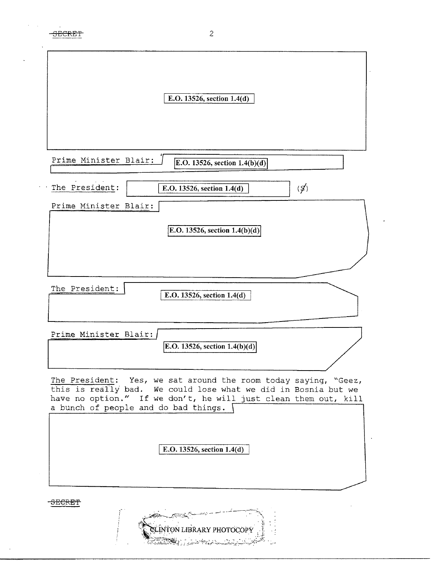| E.O. 13526, section 1.4(d)                                                                                                                                                |
|---------------------------------------------------------------------------------------------------------------------------------------------------------------------------|
|                                                                                                                                                                           |
|                                                                                                                                                                           |
| Prime Minister Blair:<br>E.O. 13526, section $1.4(b)(d)$                                                                                                                  |
| The President:<br>$\mathcal{G}'$<br>E.O. 13526, section 1.4(d)                                                                                                            |
| Prime Minister Blair:                                                                                                                                                     |
| E.O. 13526, section $1.4(b)(d)$                                                                                                                                           |
|                                                                                                                                                                           |
|                                                                                                                                                                           |
| The President:<br>E.O. 13526, section 1.4(d)                                                                                                                              |
| Prime Minister Blair:                                                                                                                                                     |
| E.O. 13526, section $1.4(b)(d)$                                                                                                                                           |
| The President: Yes, we sat around the room today saying, "Geez,                                                                                                           |
| this is really bad. We could lose what we did in Bosnia but we<br>have no option." If we don't, he will just clean them out, kill<br>a bunch of people and do bad things. |
|                                                                                                                                                                           |
| E.O. 13526, section 1.4(d)                                                                                                                                                |
|                                                                                                                                                                           |
|                                                                                                                                                                           |

 $\ddot{\phantom{a}}$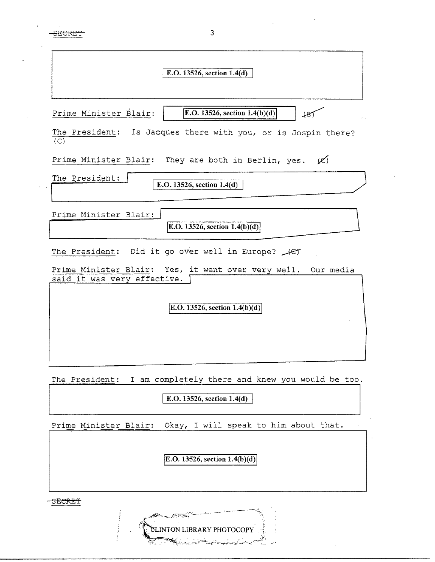SECRET 3

| E.O. 13526, section 1.4(d)                                                                  |
|---------------------------------------------------------------------------------------------|
|                                                                                             |
| <b>E.O.</b> 13526, section $1.4(b)(d)$<br>Prime Minister Blair:<br>487                      |
| The President: Is Jacques there with you, or is Jospin there?<br>(C)                        |
| Prime Minister Blair: They are both in Berlin, yes. $(0, 0)$                                |
| The President:<br>E.O. 13526, section 1.4(d)                                                |
| Prime Minister Blair:<br>E.O. 13526, section $1.4(b)(d)$                                    |
| The President: Did it go over well in Europe? Act                                           |
| Prime Minister Blair: Yes, it went over very well. Our media<br>said it was very effective. |
| E.O. 13526, section $1.4(b)(d)$                                                             |
|                                                                                             |

The President: I am completely there and knew you would be too.

 $\boxed{\text{E.O. 13526, section 1.4(d)}}$ 

Prime Minister Blair: Okay, I will speak to him about that.

 $E.O.$  13526, section 1.4(b)(d)

 $\bar{z}$ 

SECRET

I